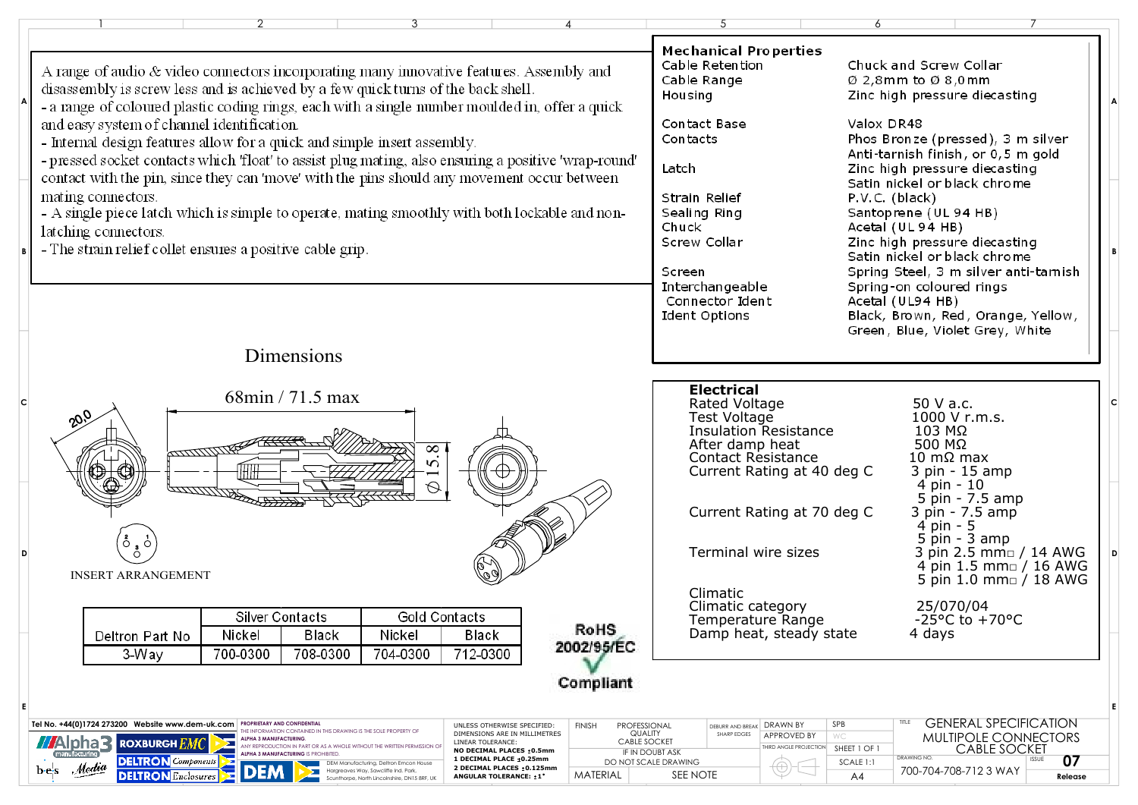| A range of audio & video connectors incorporating many innovative features. Assembly and<br>disassembly is screw less and is achieved by a few quick turns of the back shell.<br>- a range of coloured plastic coding rings, each with a single number moulded in, offer a quick<br>and easy system of channel identification.<br>- Internal design features allow for a quick and simple insert assembly.<br>- pressed socket contacts which 'float' to assist plug mating, also ensuring a positive 'wrap-round'<br>contact with the pin, since they can 'move' with the pins should any movement occur between<br>mating connectors.<br>- A single piece latch which is simple to operate, mating smoothly with both lockable and non-<br>latching connectors.<br>- The strain relief collet ensures a positive cable grip.                                                                                                                                                                                                                  | <b>Mechanical Properties</b><br>Cable Retention<br>Cable Range<br>Housing<br>Contact Base<br>Contacts<br>Latch<br>Strain Relief<br>Sealing Ring<br>Chuck<br>Screw Collar<br>Screen | Chuck and Screw Collar<br>$\varnothing$ 2,8mm to $\varnothing$ 8,0mm<br>Zinc high pressure diecasting<br>Valox DR48<br>Phos Bronze (pressed), 3 m silver<br>Anti-tarnish finish, or 0,5 m gold<br>Zinc high pressure diecasting<br>Satin nickel or black chrome<br>P.V.C. (black)<br>Santoprene (UL 94 HB)<br>Acetal (UL 94 HB)<br>Zinc high pressure diecasting<br>Satin nickel or black chrome<br>Spring Steel, 3 m silver anti-tamish |
|-------------------------------------------------------------------------------------------------------------------------------------------------------------------------------------------------------------------------------------------------------------------------------------------------------------------------------------------------------------------------------------------------------------------------------------------------------------------------------------------------------------------------------------------------------------------------------------------------------------------------------------------------------------------------------------------------------------------------------------------------------------------------------------------------------------------------------------------------------------------------------------------------------------------------------------------------------------------------------------------------------------------------------------------------|------------------------------------------------------------------------------------------------------------------------------------------------------------------------------------|------------------------------------------------------------------------------------------------------------------------------------------------------------------------------------------------------------------------------------------------------------------------------------------------------------------------------------------------------------------------------------------------------------------------------------------|
| Dimensions                                                                                                                                                                                                                                                                                                                                                                                                                                                                                                                                                                                                                                                                                                                                                                                                                                                                                                                                                                                                                                      | Interchangeable<br>Connector Ident<br>Ident Options                                                                                                                                | Spring-on coloured rings<br>Acetal (UL94 HB)<br>Black, Brown, Red, Orange, Yellow,<br>Green, Blue, Violet Grey, White                                                                                                                                                                                                                                                                                                                    |
| $68\text{min}$ / 71.5 max<br>$\infty$<br>ШШШт<br>5<br>Q<br>25177777777                                                                                                                                                                                                                                                                                                                                                                                                                                                                                                                                                                                                                                                                                                                                                                                                                                                                                                                                                                          | <b>Electrical</b><br>Rated Voltage<br>Test Voltage<br><b>Insulation Resistance</b><br>After damp heat<br>Contact Resistance<br>Current Rating at 40 deg C                          | 50 V a.c.<br>c<br>1000 V r.m.s.<br>$103$ MΩ<br>500 MΩ<br>10 m $\Omega$ max<br>3 pin - 15 amp<br>$4$ pin - 10<br>5 pin - 7.5 amp                                                                                                                                                                                                                                                                                                          |
| $\circ$ $\circ$<br><b>INSERT ARRANGEMENT</b><br><b>Gold Contacts</b><br>Silver Contacts                                                                                                                                                                                                                                                                                                                                                                                                                                                                                                                                                                                                                                                                                                                                                                                                                                                                                                                                                         | Current Rating at 70 deg C<br>Terminal wire sizes<br>Climatic<br>Climatic category<br>Temperature Range                                                                            | 3 pin - 7.5 amp<br>4 pin - 5<br>$pin - 3 amp$<br>3 pin 2.5 mmo / 14 AWG<br>4 pin 1.5 mm / 16 AWG<br>5 pin 1.0 mm□ / 18 AWG<br>25/070/04<br>$-25^{\circ}$ C to $+70^{\circ}$ C                                                                                                                                                                                                                                                            |
| <b>RoHS</b><br>Nickel<br>Black<br>Nickel<br>Black<br>Deltron Part No<br>2002/95/EC<br>3-Way<br>700-0300<br>708-0300<br>704-0300<br>712-0300<br>Compliant<br>Tel No. +44(0)1724 273200 Website www.dem-uk.com   PROPRIETARY AND CONFIDENTIAL<br>PROFESSIONAL<br>UNLESS OTHERWISE SPECIFIED:<br><b>FINISH</b><br>THE INFORMATION CONTAINED IN THIS DRAWING IS THE SOLE PROPERTY OF<br>DIMENSIONS ARE IN MILLIMETRES<br>QUALITY<br><b>ALPHA 3 MANUFACTURING</b><br><b>//Alpha3</b><br><b>CABLE SOCKET</b><br><b>ROXBURGHEM(</b><br>LINEAR TOLERANCE:<br>⋝<br>ANY REPRODUCTION IN PART OR AS A WHOLE WITHOUT THE WRITTEN PERMISSION OF<br>NO DECIMAL PLACES : 0.5mm<br>IF IN DOUBT ASK<br>manufacturing<br>1 DECIMAL PLACE ±0.25mm<br><b>DELTRON</b> Components<br>DO NOT SCALE DRAWING<br>DEM Manufacturina. Deltron Emcon House<br>Media<br>2 DECIMAL PLACES : 0.125mm<br>b e s<br>Hargreaves Way, Sawcliffe Ind. Park,<br><b>DELTRON</b> Enclosures<br><b>MATERIAL</b><br>ANGULAR TOLERANCE: :1°<br>Scunthorne, North Lincolnshire, DN15 8RF, UK | Damp heat, steady state<br>DEBURR AND BREAK DRAWN BY<br>SHARP EDGES<br>APPROVED BY<br>THIRD ANGLE PROJECTION<br>SEE NOTE                                                           | 4 days<br><b>GENERAL SPECIFICATION</b><br>TITLE<br>SPB<br>WC<br>MULTIPOLE CONNECTORS<br><b>CABLE SOCKET</b><br>SHEET 1 OF 1<br>DRAWING NO.<br>07<br><b>ISSUE</b><br>SCALE 1:1<br>700-704-708-7123 WAY<br>A4<br>Release                                                                                                                                                                                                                   |